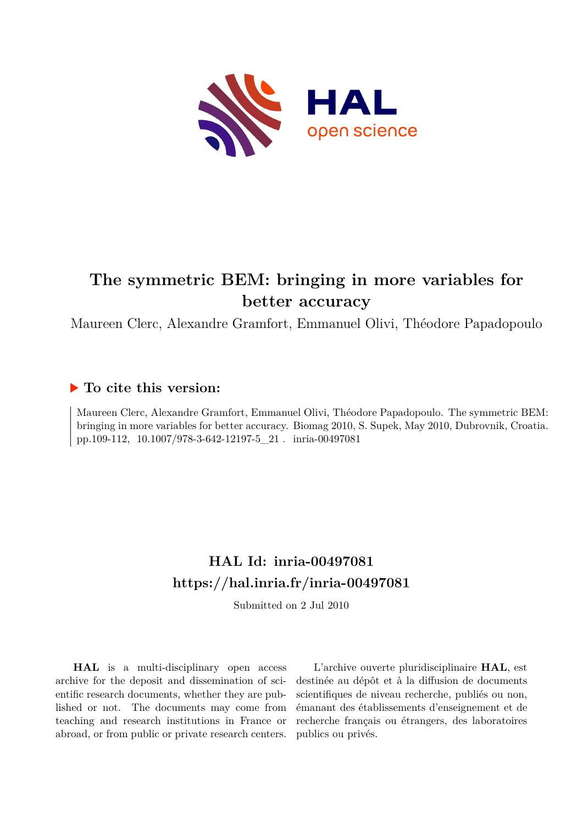

# **The symmetric BEM: bringing in more variables for better accuracy**

Maureen Clerc, Alexandre Gramfort, Emmanuel Olivi, Théodore Papadopoulo

### **To cite this version:**

Maureen Clerc, Alexandre Gramfort, Emmanuel Olivi, Théodore Papadopoulo. The symmetric BEM: bringing in more variables for better accuracy. Biomag 2010, S. Supek, May 2010, Dubrovnik, Croatia. pp.109-112, 10.1007/978-3-642-12197-5\_21 . inria-00497081

## **HAL Id: inria-00497081 <https://hal.inria.fr/inria-00497081>**

Submitted on 2 Jul 2010

**HAL** is a multi-disciplinary open access archive for the deposit and dissemination of scientific research documents, whether they are published or not. The documents may come from teaching and research institutions in France or abroad, or from public or private research centers.

L'archive ouverte pluridisciplinaire **HAL**, est destinée au dépôt et à la diffusion de documents scientifiques de niveau recherche, publiés ou non, émanant des établissements d'enseignement et de recherche français ou étrangers, des laboratoires publics ou privés.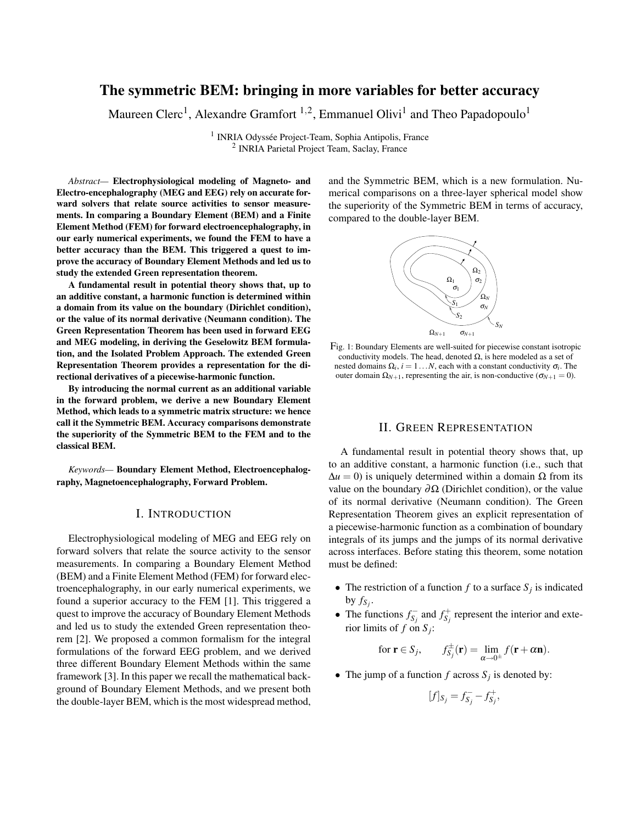### The symmetric BEM: bringing in more variables for better accuracy

Maureen Clerc<sup>1</sup>, Alexandre Gramfort <sup>1,2</sup>, Emmanuel Olivi<sup>1</sup> and Theo Papadopoulo<sup>1</sup>

<sup>1</sup> INRIA Odyssée Project-Team, Sophia Antipolis, France 2 INRIA Parietal Project Team, Saclay, France

*Abstract—* Electrophysiological modeling of Magneto- and Electro-encephalography (MEG and EEG) rely on accurate forward solvers that relate source activities to sensor measurements. In comparing a Boundary Element (BEM) and a Finite Element Method (FEM) for forward electroencephalography, in our early numerical experiments, we found the FEM to have a better accuracy than the BEM. This triggered a quest to improve the accuracy of Boundary Element Methods and led us to study the extended Green representation theorem.

A fundamental result in potential theory shows that, up to an additive constant, a harmonic function is determined within a domain from its value on the boundary (Dirichlet condition), or the value of its normal derivative (Neumann condition). The Green Representation Theorem has been used in forward EEG and MEG modeling, in deriving the Geselowitz BEM formulation, and the Isolated Problem Approach. The extended Green Representation Theorem provides a representation for the directional derivatives of a piecewise-harmonic function.

By introducing the normal current as an additional variable in the forward problem, we derive a new Boundary Element Method, which leads to a symmetric matrix structure: we hence call it the Symmetric BEM. Accuracy comparisons demonstrate the superiority of the Symmetric BEM to the FEM and to the classical BEM.

*Keywords—* Boundary Element Method, Electroencephalography, Magnetoencephalography, Forward Problem.

#### I. INTRODUCTION

Electrophysiological modeling of MEG and EEG rely on forward solvers that relate the source activity to the sensor measurements. In comparing a Boundary Element Method (BEM) and a Finite Element Method (FEM) for forward electroencephalography, in our early numerical experiments, we found a superior accuracy to the FEM [1]. This triggered a quest to improve the accuracy of Boundary Element Methods and led us to study the extended Green representation theorem [2]. We proposed a common formalism for the integral formulations of the forward EEG problem, and we derived three different Boundary Element Methods within the same framework [3]. In this paper we recall the mathematical background of Boundary Element Methods, and we present both the double-layer BEM, which is the most widespread method,

and the Symmetric BEM, which is a new formulation. Numerical comparisons on a three-layer spherical model show the superiority of the Symmetric BEM in terms of accuracy, compared to the double-layer BEM.



Fig. 1: Boundary Elements are well-suited for piecewise constant isotropic conductivity models. The head, denoted  $\Omega$ , is here modeled as a set of nested domains  $\Omega_i$ ,  $i = 1...N$ , each with a constant conductivity  $\sigma_i$ . The outer domain  $\Omega_{N+1}$ , representing the air, is non-conductive ( $\sigma_{N+1} = 0$ ).

#### II. GREEN REPRESENTATION

A fundamental result in potential theory shows that, up to an additive constant, a harmonic function (i.e., such that  $\Delta u = 0$ ) is uniquely determined within a domain  $\Omega$  from its value on the boundary  $\partial \Omega$  (Dirichlet condition), or the value of its normal derivative (Neumann condition). The Green Representation Theorem gives an explicit representation of a piecewise-harmonic function as a combination of boundary integrals of its jumps and the jumps of its normal derivative across interfaces. Before stating this theorem, some notation must be defined:

- The restriction of a function  $f$  to a surface  $S_j$  is indicated by  $f_{S_j}$ .
- The functions  $f_{S_j}^-$  and  $f_{S_j}^+$  represent the interior and exterior limits of *f* on *S<sup>j</sup>* :

for 
$$
\mathbf{r} \in S_j
$$
,  $f_{S_j}^{\pm}(\mathbf{r}) = \lim_{\alpha \to 0^{\pm}} f(\mathbf{r} + \alpha \mathbf{n})$ .

• The jump of a function  $f$  across  $S_j$  is denoted by:

$$
[f]_{S_j} = f_{S_j}^- - f_{S_j}^+,
$$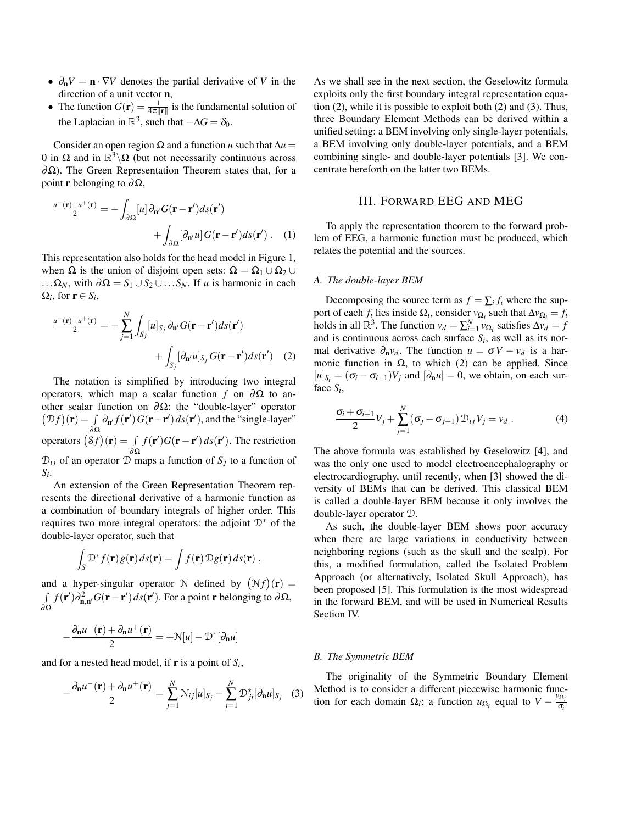- $\partial_{\bf n}V = {\bf n} \cdot \nabla V$  denotes the partial derivative of *V* in the direction of a unit vector n,
- The function  $G(\mathbf{r}) = \frac{1}{4\pi ||\mathbf{r}||}$  is the fundamental solution of the Laplacian in  $\mathbb{R}^3$ , such that  $-\Delta G = \delta_0$ .

Consider an open region  $\Omega$  and a function *u* such that  $\Delta u =$ 0 in  $\Omega$  and in  $\mathbb{R}^3 \backslash \Omega$  (but not necessarily continuous across  $\partial$ Ω). The Green Representation Theorem states that, for a point **r** belonging to  $\partial Ω$ ,

$$
\frac{u^-(\mathbf{r})+u^+(\mathbf{r})}{2} = -\int_{\partial\Omega} [u] \, \partial_{\mathbf{n}'} G(\mathbf{r}-\mathbf{r}') ds(\mathbf{r}')
$$

$$
+ \int_{\partial\Omega} [\partial_{\mathbf{n}'} u] G(\mathbf{r}-\mathbf{r}') ds(\mathbf{r}'). \quad (1)
$$

This representation also holds for the head model in Figure 1, when  $\Omega$  is the union of disjoint open sets:  $\Omega = \Omega_1 \cup \Omega_2 \cup$ ... $\Omega_N$ , with  $\partial \Omega = S_1 \cup S_2 \cup \ldots S_N$ . If *u* is harmonic in each  $\Omega_i$ , for  $\mathbf{r} \in S_i$ ,

$$
\frac{u^-(\mathbf{r})+u^+(\mathbf{r})}{2} = -\sum_{j=1}^N \int_{S_j} [u]_{S_j} \, \partial_{\mathbf{n}'} G(\mathbf{r} - \mathbf{r}') ds(\mathbf{r}')
$$

$$
+ \int_{S_j} [\partial_{\mathbf{n}'} u]_{S_j} G(\mathbf{r} - \mathbf{r}') ds(\mathbf{r}')
$$
(2)

The notation is simplified by introducing two integral operators, which map a scalar function *f* on  $\partial\Omega$  to another scalar function on  $\partial Ω$ : the "double-layer" operator  $(\mathcal{D}f)(\mathbf{r}) = \int$  $\int_{\partial \Omega} \partial_{\mathbf{n}'} f(\mathbf{r}') G(\mathbf{r} - \mathbf{r}') ds(\mathbf{r}'),$  and the "single-layer" operators  $(\mathcal{S}f)(\mathbf{r}) = \int$ ∂Ω  $f(\mathbf{r}')G(\mathbf{r}-\mathbf{r}')ds(\mathbf{r}')$ . The restriction  $\mathcal{D}_{ij}$  of an operator  $\mathcal{D}$  maps a function of  $S_j$  to a function of *Si* .

An extension of the Green Representation Theorem represents the directional derivative of a harmonic function as a combination of boundary integrals of higher order. This requires two more integral operators: the adjoint  $\mathcal{D}^*$  of the double-layer operator, such that

$$
\int_{S} \mathcal{D}^* f(\mathbf{r}) g(\mathbf{r}) ds(\mathbf{r}) = \int f(\mathbf{r}) \mathcal{D} g(\mathbf{r}) ds(\mathbf{r}),
$$

and a hyper-singular operator  $N$  defined by  $(Nf)(r) =$  $\int$ ∂Ω  $f(\mathbf{r}')\partial_{\mathbf{n},\mathbf{n}'}^2 G(\mathbf{r}-\mathbf{r}') ds(\mathbf{r}')$ . For a point **r** belonging to ∂Ω,

$$
-\frac{\partial_{\mathbf{n}}u^{-}(\mathbf{r}) + \partial_{\mathbf{n}}u^{+}(\mathbf{r})}{2} = +\mathcal{N}[u] - \mathcal{D}^{*}[\partial_{\mathbf{n}}u]
$$

and for a nested head model, if  $\mathbf{r}$  is a point of  $S_i$ ,

$$
-\frac{\partial_{\mathbf{n}}u^{-}(\mathbf{r}) + \partial_{\mathbf{n}}u^{+}(\mathbf{r})}{2} = \sum_{j=1}^{N} \mathcal{N}_{ij}[u]_{S_j} - \sum_{j=1}^{N} \mathcal{D}_{ji}^{*}[\partial_{\mathbf{n}}u]_{S_j} \quad (3)
$$

As we shall see in the next section, the Geselowitz formula exploits only the first boundary integral representation equation (2), while it is possible to exploit both (2) and (3). Thus, three Boundary Element Methods can be derived within a unified setting: a BEM involving only single-layer potentials, a BEM involving only double-layer potentials, and a BEM combining single- and double-layer potentials [3]. We concentrate hereforth on the latter two BEMs.

#### III. FORWARD EEG AND MEG

To apply the representation theorem to the forward problem of EEG, a harmonic function must be produced, which relates the potential and the sources.

#### *A. The double-layer BEM*

Decomposing the source term as  $f = \sum_i f_i$  where the support of each  $f_i$  lies inside  $\Omega_i$ , consider  $v_{\Omega_i}$  such that  $\Delta v_{\Omega_i} = f_i$ holds in all  $\mathbb{R}^3$ . The function  $v_d = \sum_{i=1}^N v_{\Omega_i}$  satisfies  $\Delta v_d = f$ and is continuous across each surface  $S_i$ , as well as its normal derivative  $\partial_{\bf n} v_d$ . The function  $u = \sigma V - v_d$  is a harmonic function in  $\Omega$ , to which (2) can be applied. Since  $[u]_{S_i} = (\sigma_i - \sigma_{i+1})V_j$  and  $[\partial_\mathbf{n} u] = 0$ , we obtain, on each surface *S<sup>i</sup>* ,

$$
\frac{\sigma_i + \sigma_{i+1}}{2} V_j + \sum_{j=1}^N (\sigma_j - \sigma_{j+1}) \mathcal{D}_{ij} V_j = v_d.
$$
 (4)

The above formula was established by Geselowitz [4], and was the only one used to model electroencephalography or electrocardiography, until recently, when [3] showed the diversity of BEMs that can be derived. This classical BEM is called a double-layer BEM because it only involves the double-layer operator D.

As such, the double-layer BEM shows poor accuracy when there are large variations in conductivity between neighboring regions (such as the skull and the scalp). For this, a modified formulation, called the Isolated Problem Approach (or alternatively, Isolated Skull Approach), has been proposed [5]. This formulation is the most widespread in the forward BEM, and will be used in Numerical Results Section IV.

#### *B. The Symmetric BEM*

The originality of the Symmetric Boundary Element Method is to consider a different piecewise harmonic function for each domain  $\Omega_i$ : a function  $u_{\Omega_i}$  equal to  $V - \frac{v_{\Omega_i}}{\sigma_i}$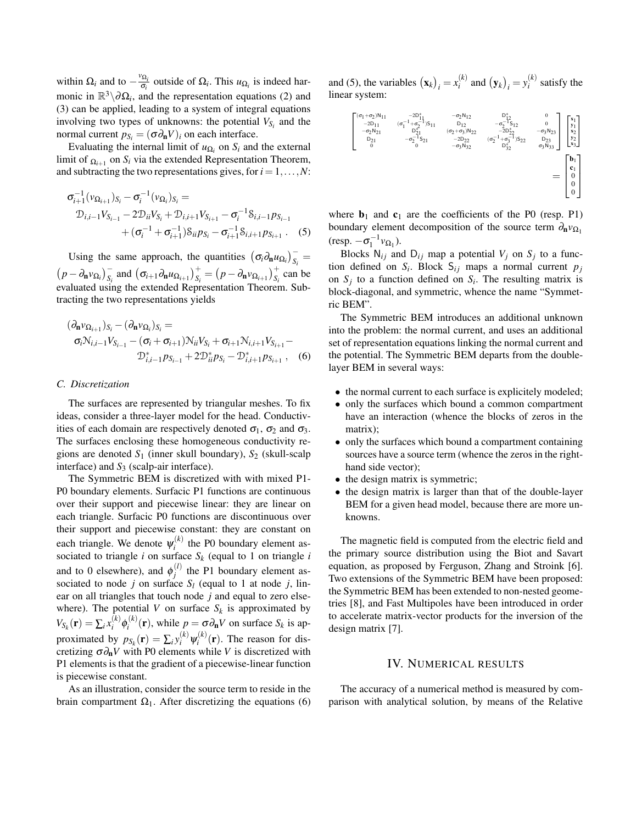within  $\Omega_i$  and to  $-\frac{v_{\Omega_i}}{\sigma_i}$  outside of  $\Omega_i$ . This *u*<sub>Ω*i*</sub> is indeed harmonic in  $\mathbb{R}^3 \setminus \partial \Omega_i$ , and the representation equations (2) and (3) can be applied, leading to a system of integral equations involving two types of unknowns: the potential  $V_{S_i}$  and the normal current  $p_{S_i} = (\sigma \partial_{\bf n} V)_i$  on each interface.

Evaluating the internal limit of  $u_{\Omega_i}$  on  $S_i$  and the external limit of  $_{\Omega_{i+1}}$  on  $S_i$  via the extended Representation Theorem, and subtracting the two representations gives, for  $i = 1, \ldots, N$ :

$$
\sigma_{i+1}^{-1}(\nu_{\Omega_{i+1}})_{S_i} - \sigma_i^{-1}(\nu_{\Omega_i})_{S_i} =
$$
\n
$$
\mathcal{D}_{i,i-1}V_{S_{i-1}} - 2\mathcal{D}_{ii}V_{S_i} + \mathcal{D}_{i,i+1}V_{S_{i+1}} - \sigma_i^{-1}\delta_{i,i-1}p_{S_{i-1}} + (\sigma_i^{-1} + \sigma_{i+1}^{-1})\delta_{ii}p_{S_i} - \sigma_{i+1}^{-1}\delta_{i,i+1}p_{S_{i+1}}.
$$
\n(5)

Using the same approach, the quantities  $(\sigma_i \partial_{\mathbf{n}} u_{\Omega_i})_{S_i}^-$  =  $(p - \partial_n v_{\Omega_i})_{S_i}^T$  and  $(\sigma_{i+1}\partial_n u_{\Omega_{i+1}})_{S_i}^+ = (p - \partial_n v_{\Omega_{i+1}})_{S_i}^+$  can be evaluated using the extended Representation Theorem. Subtracting the two representations yields

$$
(\partial_{\mathbf{n}} \nu_{\Omega_{i+1}})_{S_i} - (\partial_{\mathbf{n}} \nu_{\Omega_i})_{S_i} =
$$
  
\n
$$
\sigma_i \mathcal{N}_{i,i-1} V_{S_{i-1}} - (\sigma_i + \sigma_{i+1}) \mathcal{N}_{ii} V_{S_i} + \sigma_{i+1} \mathcal{N}_{i,i+1} V_{S_{i+1}} -
$$
  
\n
$$
\mathcal{D}_{i,i-1}^* p_{S_{i-1}} + 2 \mathcal{D}_{ii}^* p_{S_i} - \mathcal{D}_{i,i+1}^* p_{S_{i+1}} , \quad (6)
$$

#### *C. Discretization*

The surfaces are represented by triangular meshes. To fix ideas, consider a three-layer model for the head. Conductivities of each domain are respectively denoted  $\sigma_1$ ,  $\sigma_2$  and  $\sigma_3$ . The surfaces enclosing these homogeneous conductivity regions are denoted *S*<sup>1</sup> (inner skull boundary), *S*<sup>2</sup> (skull-scalp interface) and  $S_3$  (scalp-air interface).

The Symmetric BEM is discretized with with mixed P1- P0 boundary elements. Surfacic P1 functions are continuous over their support and piecewise linear: they are linear on each triangle. Surfacic P0 functions are discontinuous over their support and piecewise constant: they are constant on each triangle. We denote  $\psi_i^{(k)}$  $i^{(k)}$  the P0 boundary element associated to triangle *i* on surface  $S_k$  (equal to 1 on triangle *i* and to 0 elsewhere), and  $\phi_i^{(l)}$  $j^{(t)}$  the P1 boundary element associated to node *j* on surface  $S_l$  (equal to 1 at node *j*, linear on all triangles that touch node *j* and equal to zero elsewhere). The potential  $V$  on surface  $S_k$  is approximated by  $V_{S_k}(\mathbf{r}) = \sum_i x_i^{(k)}$  $\int\limits_i^{(k)}\pmb{\phi}_i^{(k)}$  $i^{(k)}(\mathbf{r})$ , while  $p = \sigma \partial_{\mathbf{n}} V$  on surface  $S_k$  is approximated by  $p_{S_k}(\mathbf{r}) = \sum_i y_i^{(k)} \psi_i^{(k)}$  $f_i^{(k)}(\mathbf{r})$ . The reason for discretizing  $\sigma \partial_{\bf n} V$  with P0 elements while *V* is discretized with P1 elements is that the gradient of a piecewise-linear function is piecewise constant.

As an illustration, consider the source term to reside in the brain compartment  $Ω_1$ . After discretizing the equations (6)

and (5), the variables  $(\mathbf{x}_k)_i = x_i^{(k)}$  $y_i^{(k)}$  and  $(y_k)_i = y_i^{(k)}$  $v_i^{(k)}$  satisfy the linear system:



where  $\mathbf{b}_1$  and  $\mathbf{c}_1$  are the coefficients of the P0 (resp. P1) boundary element decomposition of the source term  $\partial_{\bf n} v_{\Omega_1}$  $(\text{resp. } -\sigma_1^{-1} v_{\Omega_1}).$ 

Blocks  $N_{ij}$  and  $D_{ij}$  map a potential  $V_j$  on  $S_j$  to a function defined on  $S_i$ . Block  $S_{ij}$  maps a normal current  $p_j$ on  $S_j$  to a function defined on  $S_i$ . The resulting matrix is block-diagonal, and symmetric, whence the name "Symmetric BEM".

The Symmetric BEM introduces an additional unknown into the problem: the normal current, and uses an additional set of representation equations linking the normal current and the potential. The Symmetric BEM departs from the doublelayer BEM in several ways:

- the normal current to each surface is explicitely modeled;
- only the surfaces which bound a common compartment have an interaction (whence the blocks of zeros in the matrix);
- only the surfaces which bound a compartment containing sources have a source term (whence the zeros in the righthand side vector);
- the design matrix is symmetric;
- the design matrix is larger than that of the double-layer BEM for a given head model, because there are more unknowns.

The magnetic field is computed from the electric field and the primary source distribution using the Biot and Savart equation, as proposed by Ferguson, Zhang and Stroink [6]. Two extensions of the Symmetric BEM have been proposed: the Symmetric BEM has been extended to non-nested geometries [8], and Fast Multipoles have been introduced in order to accelerate matrix-vector products for the inversion of the design matrix [7].

#### IV. NUMERICAL RESULTS

The accuracy of a numerical method is measured by comparison with analytical solution, by means of the Relative